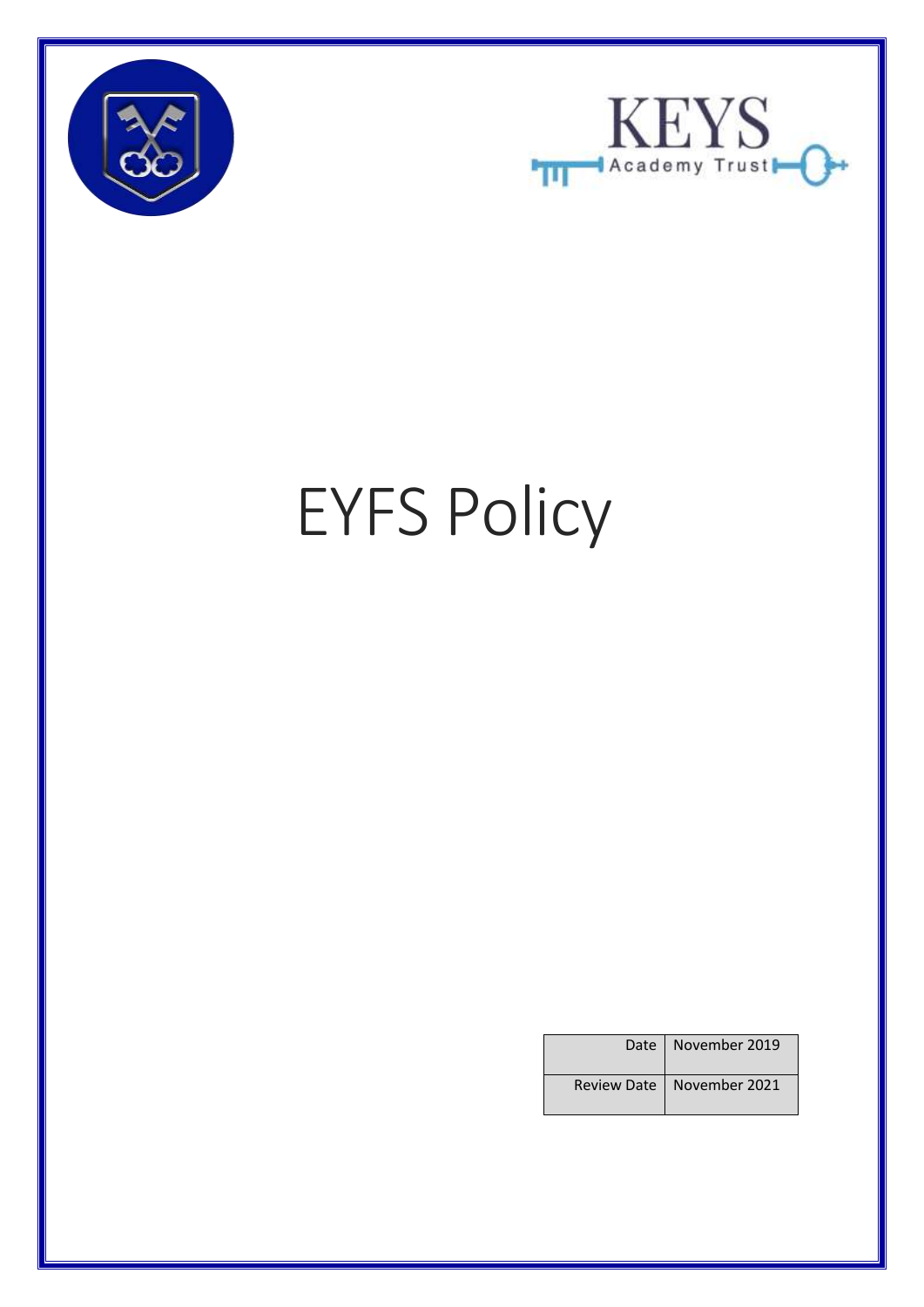



# EYFS Policy

| Date   November 2019        |
|-----------------------------|
| Review Date   November 2021 |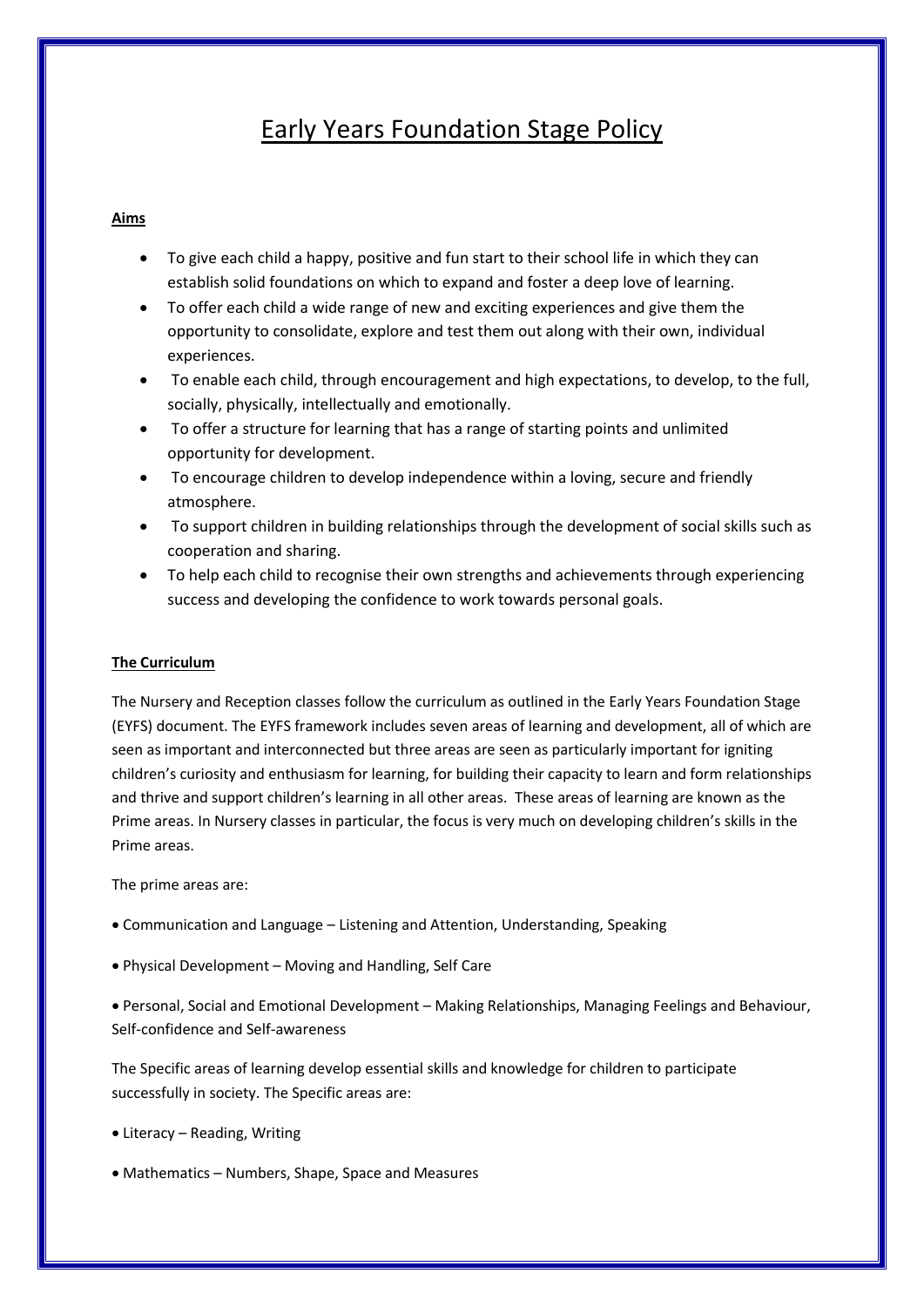# Early Years Foundation Stage Policy

## **Aims**

- To give each child a happy, positive and fun start to their school life in which they can establish solid foundations on which to expand and foster a deep love of learning.
- To offer each child a wide range of new and exciting experiences and give them the opportunity to consolidate, explore and test them out along with their own, individual experiences.
- To enable each child, through encouragement and high expectations, to develop, to the full, socially, physically, intellectually and emotionally.
- To offer a structure for learning that has a range of starting points and unlimited opportunity for development.
- To encourage children to develop independence within a loving, secure and friendly atmosphere.
- To support children in building relationships through the development of social skills such as cooperation and sharing.
- To help each child to recognise their own strengths and achievements through experiencing success and developing the confidence to work towards personal goals.

### **The Curriculum**

The Nursery and Reception classes follow the curriculum as outlined in the Early Years Foundation Stage (EYFS) document. The EYFS framework includes seven areas of learning and development, all of which are seen as important and interconnected but three areas are seen as particularly important for igniting children's curiosity and enthusiasm for learning, for building their capacity to learn and form relationships and thrive and support children's learning in all other areas. These areas of learning are known as the Prime areas. In Nursery classes in particular, the focus is very much on developing children's skills in the Prime areas.

The prime areas are:

- Communication and Language Listening and Attention, Understanding, Speaking
- Physical Development Moving and Handling, Self Care

 Personal, Social and Emotional Development – Making Relationships, Managing Feelings and Behaviour, Self-confidence and Self-awareness

The Specific areas of learning develop essential skills and knowledge for children to participate successfully in society. The Specific areas are:

- Literacy Reading, Writing
- Mathematics Numbers, Shape, Space and Measures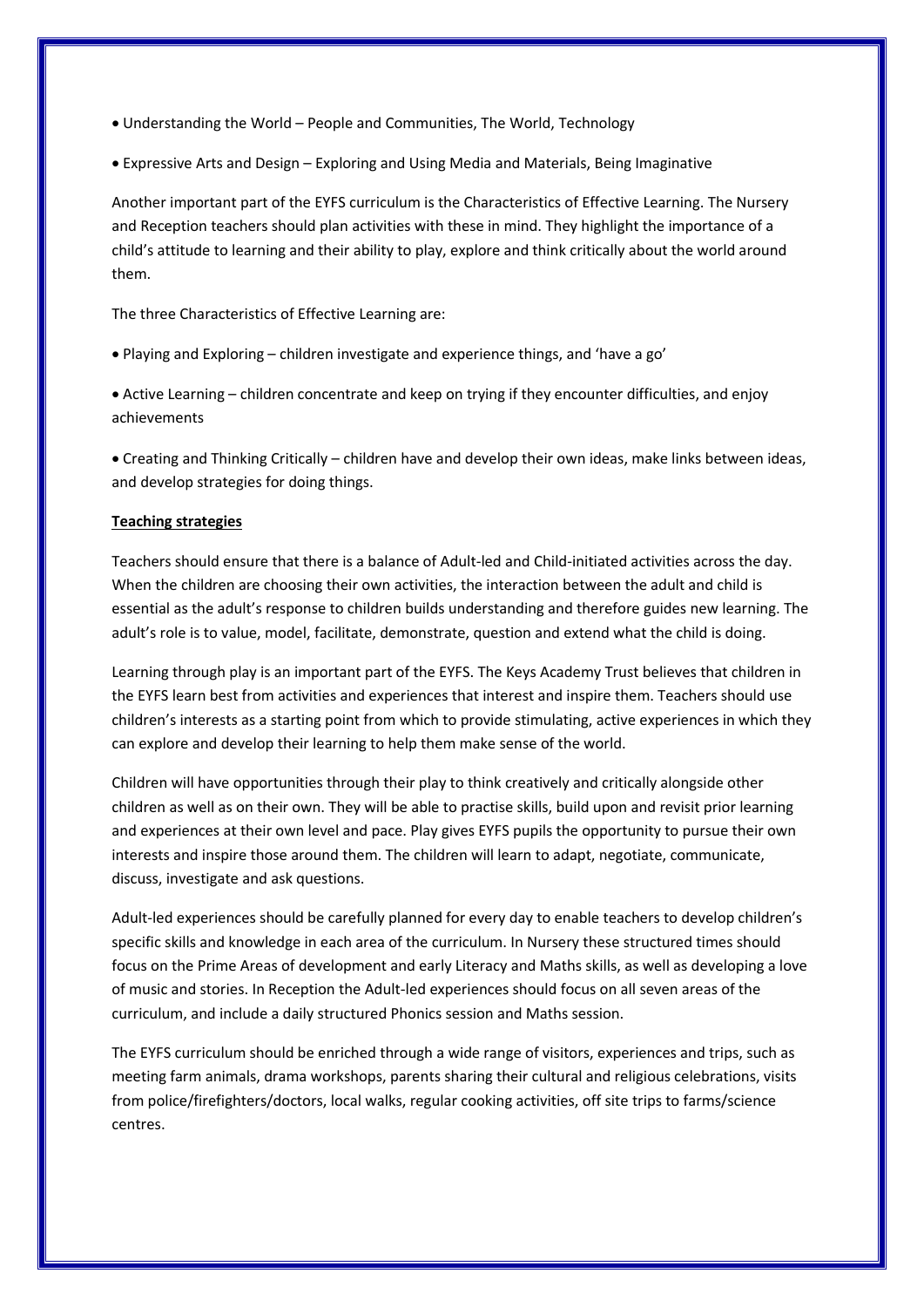Understanding the World – People and Communities, The World, Technology

Expressive Arts and Design – Exploring and Using Media and Materials, Being Imaginative

Another important part of the EYFS curriculum is the Characteristics of Effective Learning. The Nursery and Reception teachers should plan activities with these in mind. They highlight the importance of a child's attitude to learning and their ability to play, explore and think critically about the world around them.

The three Characteristics of Effective Learning are:

Playing and Exploring – children investigate and experience things, and 'have a go'

 Active Learning – children concentrate and keep on trying if they encounter difficulties, and enjoy achievements

 Creating and Thinking Critically – children have and develop their own ideas, make links between ideas, and develop strategies for doing things.

#### **Teaching strategies**

Teachers should ensure that there is a balance of Adult-led and Child-initiated activities across the day. When the children are choosing their own activities, the interaction between the adult and child is essential as the adult's response to children builds understanding and therefore guides new learning. The adult's role is to value, model, facilitate, demonstrate, question and extend what the child is doing.

Learning through play is an important part of the EYFS. The Keys Academy Trust believes that children in the EYFS learn best from activities and experiences that interest and inspire them. Teachers should use children's interests as a starting point from which to provide stimulating, active experiences in which they can explore and develop their learning to help them make sense of the world.

Children will have opportunities through their play to think creatively and critically alongside other children as well as on their own. They will be able to practise skills, build upon and revisit prior learning and experiences at their own level and pace. Play gives EYFS pupils the opportunity to pursue their own interests and inspire those around them. The children will learn to adapt, negotiate, communicate, discuss, investigate and ask questions.

Adult-led experiences should be carefully planned for every day to enable teachers to develop children's specific skills and knowledge in each area of the curriculum. In Nursery these structured times should focus on the Prime Areas of development and early Literacy and Maths skills, as well as developing a love of music and stories. In Reception the Adult-led experiences should focus on all seven areas of the curriculum, and include a daily structured Phonics session and Maths session.

The EYFS curriculum should be enriched through a wide range of visitors, experiences and trips, such as meeting farm animals, drama workshops, parents sharing their cultural and religious celebrations, visits from police/firefighters/doctors, local walks, regular cooking activities, off site trips to farms/science centres.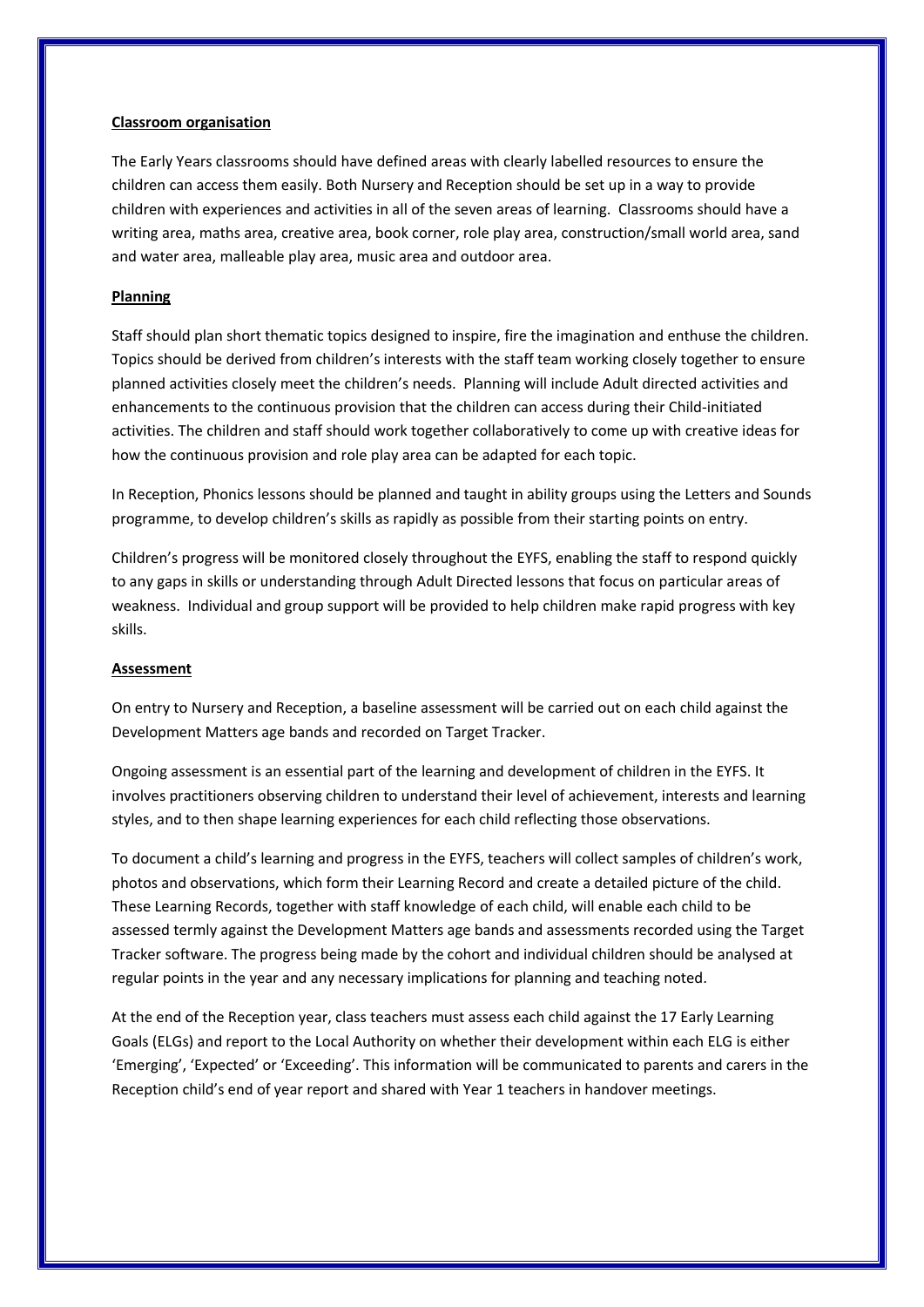#### **Classroom organisation**

The Early Years classrooms should have defined areas with clearly labelled resources to ensure the children can access them easily. Both Nursery and Reception should be set up in a way to provide children with experiences and activities in all of the seven areas of learning. Classrooms should have a writing area, maths area, creative area, book corner, role play area, construction/small world area, sand and water area, malleable play area, music area and outdoor area.

#### **Planning**

Staff should plan short thematic topics designed to inspire, fire the imagination and enthuse the children. Topics should be derived from children's interests with the staff team working closely together to ensure planned activities closely meet the children's needs. Planning will include Adult directed activities and enhancements to the continuous provision that the children can access during their Child-initiated activities. The children and staff should work together collaboratively to come up with creative ideas for how the continuous provision and role play area can be adapted for each topic.

In Reception, Phonics lessons should be planned and taught in ability groups using the Letters and Sounds programme, to develop children's skills as rapidly as possible from their starting points on entry.

Children's progress will be monitored closely throughout the EYFS, enabling the staff to respond quickly to any gaps in skills or understanding through Adult Directed lessons that focus on particular areas of weakness. Individual and group support will be provided to help children make rapid progress with key skills.

#### **Assessment**

On entry to Nursery and Reception, a baseline assessment will be carried out on each child against the Development Matters age bands and recorded on Target Tracker.

Ongoing assessment is an essential part of the learning and development of children in the EYFS. It involves practitioners observing children to understand their level of achievement, interests and learning styles, and to then shape learning experiences for each child reflecting those observations.

To document a child's learning and progress in the EYFS, teachers will collect samples of children's work, photos and observations, which form their Learning Record and create a detailed picture of the child. These Learning Records, together with staff knowledge of each child, will enable each child to be assessed termly against the Development Matters age bands and assessments recorded using the Target Tracker software. The progress being made by the cohort and individual children should be analysed at regular points in the year and any necessary implications for planning and teaching noted.

At the end of the Reception year, class teachers must assess each child against the 17 Early Learning Goals (ELGs) and report to the Local Authority on whether their development within each ELG is either 'Emerging', 'Expected' or 'Exceeding'. This information will be communicated to parents and carers in the Reception child's end of year report and shared with Year 1 teachers in handover meetings.